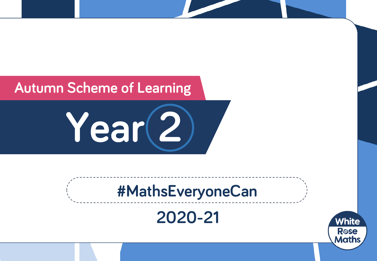## **Autumn Scheme of Learning**

**Year 2**

# **#MathsEveryoneCan**

## **2020-21**

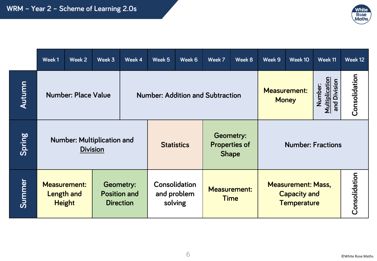

|        | Week 1                                                                                                                   | Week 2 | Week 3 | Week 4                                         | Week 5                                  | Week 6                             | Week 7                                                   | Week 8                                                                 | Week 9                              | Week 10 | Week 11                                          | Week 12       |
|--------|--------------------------------------------------------------------------------------------------------------------------|--------|--------|------------------------------------------------|-----------------------------------------|------------------------------------|----------------------------------------------------------|------------------------------------------------------------------------|-------------------------------------|---------|--------------------------------------------------|---------------|
| Autumn | <b>Number: Place Value</b>                                                                                               |        |        |                                                | <b>Number: Addition and Subtraction</b> |                                    |                                                          |                                                                        | <b>Measurement:</b><br><b>Money</b> |         | <b>Multiplication</b><br>and Division<br>Number: | Consolidation |
| Spring | <b>Number: Multiplication and</b><br><b>Division</b>                                                                     |        |        |                                                |                                         | <b>Statistics</b>                  | <b>Geometry:</b><br><b>Properties of</b><br><b>Shape</b> |                                                                        | <b>Number: Fractions</b>            |         |                                                  |               |
| Summer | <b>Measurement:</b><br><b>Geometry:</b><br><b>Position and</b><br><b>Length and</b><br><b>Height</b><br><b>Direction</b> |        |        | <b>Consolidation</b><br>and problem<br>solving |                                         | <b>Measurement:</b><br><b>Time</b> |                                                          | <b>Measurement: Mass,</b><br><b>Capacity and</b><br><b>Temperature</b> |                                     |         |                                                  |               |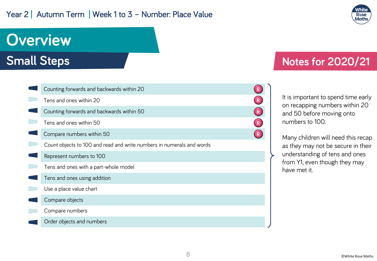#### Year 2 | Autumn Term | Week 1 to 3 - Number: Place Value



## **Overview**

**Small Steps**

| Counting forwards and backwards within 20                             |   |  |
|-----------------------------------------------------------------------|---|--|
| Tens and ones within 20                                               |   |  |
| Counting forwards and backwards within 50                             |   |  |
| Tens and ones within 50                                               | R |  |
| Compare numbers within 50                                             |   |  |
| Count objects to 100 and read and write numbers in numerals and words |   |  |
| Represent numbers to 100                                              |   |  |
| Tens and ones with a part-whole model                                 |   |  |
| Tens and ones using addition                                          |   |  |
| Use a place value chart                                               |   |  |
| Compare objects                                                       |   |  |
| Compare numbers                                                       |   |  |
| Order objects and numbers                                             |   |  |

### **Notes for 2020/21**

It is important to spend time early on recapping numbers within 20 and 50 before moving onto numbers to 100.

Many children will need this recap as they may not be secure in their understanding of tens and ones from Y1, even though they may have met it.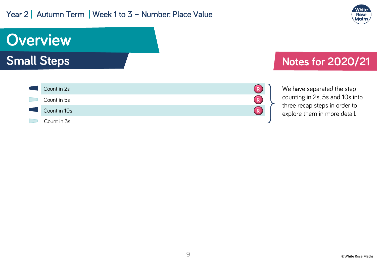#### Year 2 | Autumn Term | Week 1 to 3 - Number: Place Value



## **Overview Small Steps**



### **Notes for 2020/21**

We have separated the step counting in 2s, 5s and 10s into three recap steps in order to explore them in more detail.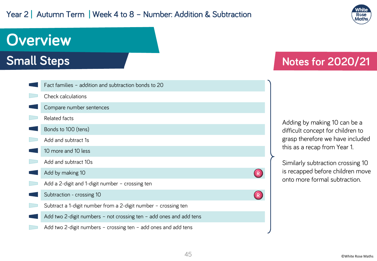#### Year 2 | Autumn Term | Week 4 to 8 - Number: Addition & Subtraction



## **Overview**

### **Small Steps**

| Fact families - addition and subtraction bonds to 20               |  |
|--------------------------------------------------------------------|--|
| Check calculations                                                 |  |
| Compare number sentences                                           |  |
| Related facts                                                      |  |
| Bonds to 100 (tens)                                                |  |
| Add and subtract 1s                                                |  |
| 10 more and 10 less                                                |  |
| Add and subtract 10s                                               |  |
| Add by making 10                                                   |  |
| Add a 2-digit and 1-digit number - crossing ten                    |  |
| Subtraction - crossing 10                                          |  |
| Subtract a 1-digit number from a 2-digit number - crossing ten     |  |
| Add two 2-digit numbers - not crossing ten - add ones and add tens |  |
| Add two 2-digit numbers - crossing ten - add ones and add tens     |  |

### **Notes for 2020/21**

Adding by making 10 can be a difficult concept for children to grasp therefore we have included this as a recap from Year 1.

Similarly subtraction crossing 10 is recapped before children move onto more formal subtraction.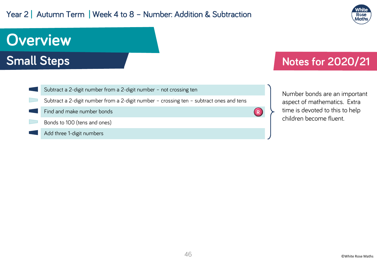#### Year 2 | Autumn Term | Week 4 to 8 - Number: Addition & Subtraction



## **Overview Small Steps**



### **Notes for 2020/21**

Number bonds are an important aspect of mathematics. Extra time is devoted to this to help children become fluent.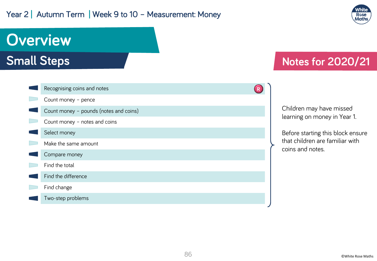#### Year 2 | Autumn Term | Week 9 to 10 - Measurement: Money



## **Overview**

**Small Steps**

| Recognising coins and notes            |  |
|----------------------------------------|--|
| Count money - pence                    |  |
| Count money - pounds (notes and coins) |  |
| Count money - notes and coins          |  |
| Select money                           |  |
| Make the same amount                   |  |
| Compare money                          |  |
| Find the total                         |  |
| Find the difference                    |  |
| Find change                            |  |
| Two-step problems                      |  |

### **Notes for 2020/21**

Children may have missed learning on money in Year 1.

Before starting this block ensure that children are familiar with coins and notes.